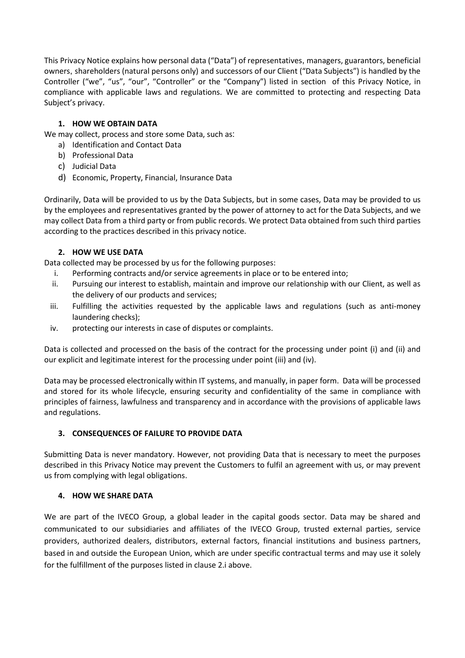This Privacy Notice explains how personal data ("Data") of representatives, managers, guarantors, beneficial owners, shareholders (natural persons only) and successors of our Client ("Data Subjects") is handled by the Controller ("we", "us", "our", "Controller" or the "Company") listed in section of this Privacy Notice, in compliance with applicable laws and regulations. We are committed to protecting and respecting Data Subject's privacy.

## 1. HOW WE OBTAIN DATA

We may collect, process and store some Data, such as:

- a) Identification and Contact Data
- b) Professional Data
- c) Judicial Data
- d) Economic, Property, Financial, Insurance Data

Ordinarily, Data will be provided to us by the Data Subjects, but in some cases, Data may be provided to us by the employees and representatives granted by the power of attorney to act for the Data Subjects, and we may collect Data from a third party or from public records. We protect Data obtained from such third parties according to the practices described in this privacy notice.

### 2. HOW WE USE DATA

Data collected may be processed by us for the following purposes:

- i. Performing contracts and/or service agreements in place or to be entered into;
- ii. Pursuing our interest to establish, maintain and improve our relationship with our Client, as well as the delivery of our products and services;
- iii. Fulfilling the activities requested by the applicable laws and regulations (such as anti-money laundering checks);
- iv. protecting our interests in case of disputes or complaints.

Data is collected and processed on the basis of the contract for the processing under point (i) and (ii) and our explicit and legitimate interest for the processing under point (iii) and (iv).

Data may be processed electronically within IT systems, and manually, in paper form. Data will be processed and stored for its whole lifecycle, ensuring security and confidentiality of the same in compliance with principles of fairness, lawfulness and transparency and in accordance with the provisions of applicable laws and regulations.

### 3. CONSEQUENCES OF FAILURE TO PROVIDE DATA

Submitting Data is never mandatory. However, not providing Data that is necessary to meet the purposes described in this Privacy Notice may prevent the Customers to fulfil an agreement with us, or may prevent us from complying with legal obligations.

### 4. HOW WE SHARE DATA

We are part of the IVECO Group, a global leader in the capital goods sector. Data may be shared and communicated to our subsidiaries and affiliates of the IVECO Group, trusted external parties, service providers, authorized dealers, distributors, external factors, financial institutions and business partners, based in and outside the European Union, which are under specific contractual terms and may use it solely for the fulfillment of the purposes listed in clause 2.i above.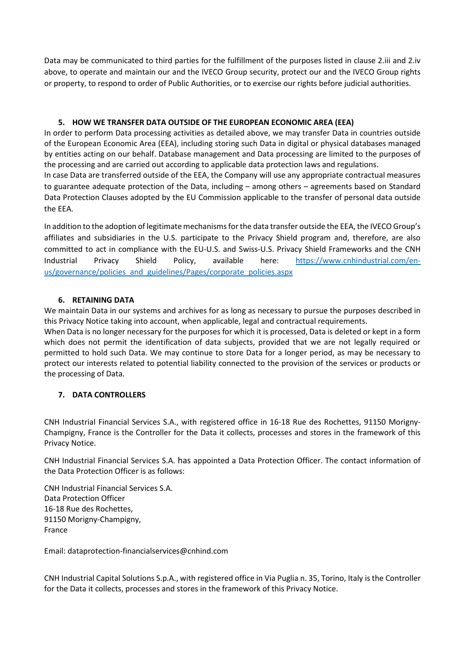Data may be communicated to third parties for the fulfillment of the purposes listed in clause 2.iii and 2.iv above, to operate and maintain our and the IVECO Group security, protect our and the IVECO Group rights or property, to respond to order of Public Authorities, or to exercise our rights before judicial authorities.

### 5. HOW WE TRANSFER DATA OUTSIDE OF THE EUROPEAN ECONOMIC AREA (EEA)

In order to perform Data processing activities as detailed above, we may transfer Data in countries outside of the European Economic Area (EEA), including storing such Data in digital or physical databases managed by entities acting on our behalf. Database management and Data processing are limited to the purposes of the processing and are carried out according to applicable data protection laws and regulations.

In case Data are transferred outside of the EEA, the Company will use any appropriate contractual measures to guarantee adequate protection of the Data, including – among others – agreements based on Standard Data Protection Clauses adopted by the EU Commission applicable to the transfer of personal data outside the EEA.

In addition to the adoption of legitimate mechanisms for the data transfer outside the EEA, the IVECO Group's affiliates and subsidiaries in the U.S. participate to the Privacy Shield program and, therefore, are also committed to act in compliance with the EU-U.S. and Swiss-U.S. Privacy Shield Frameworks and the CNH Industrial Privacy Shield Policy, available here: https://www.cnhindustrial.com/enus/governance/policies\_and\_guidelines/Pages/corporate\_policies.aspx

### 6. RETAINING DATA

We maintain Data in our systems and archives for as long as necessary to pursue the purposes described in this Privacy Notice taking into account, when applicable, legal and contractual requirements.

When Data is no longer necessary for the purposes for which it is processed, Data is deleted or kept in a form which does not permit the identification of data subjects, provided that we are not legally required or permitted to hold such Data. We may continue to store Data for a longer period, as may be necessary to protect our interests related to potential liability connected to the provision of the services or products or the processing of Data.

# 7. DATA CONTROLLERS

CNH Industrial Financial Services S.A., with registered office in 16-18 Rue des Rochettes, 91150 Morigny-Champigny, France is the Controller for the Data it collects, processes and stores in the framework of this Privacy Notice.

CNH Industrial Financial Services S.A. has appointed a Data Protection Officer. The contact information of the Data Protection Officer is as follows:

CNH Industrial Financial Services S.A. Data Protection Officer 16-18 Rue des Rochettes, 91150 Morigny-Champigny, France

Email: dataprotection-financialservices@cnhind.com

CNH Industrial Capital Solutions S.p.A., with registered office in Via Puglia n. 35, Torino, Italy is the Controller for the Data it collects, processes and stores in the framework of this Privacy Notice.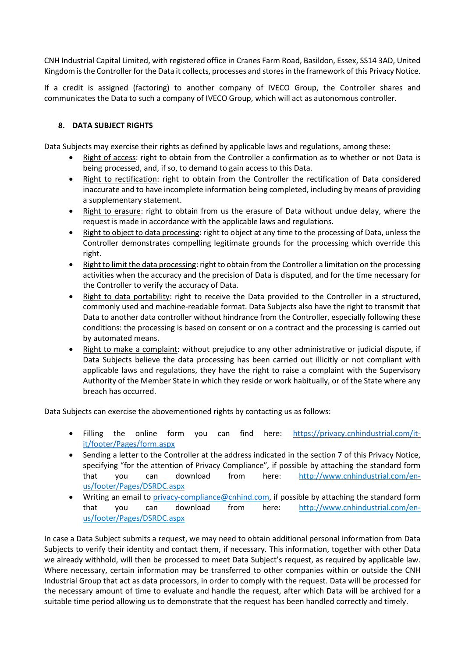CNH Industrial Capital Limited, with registered office in Cranes Farm Road, Basildon, Essex, SS14 3AD, United Kingdom is the Controller for the Data it collects, processes and stores in the framework of this Privacy Notice.

If a credit is assigned (factoring) to another company of IVECO Group, the Controller shares and communicates the Data to such a company of IVECO Group, which will act as autonomous controller.

### 8. DATA SUBJECT RIGHTS

Data Subjects may exercise their rights as defined by applicable laws and regulations, among these:

- Right of access: right to obtain from the Controller a confirmation as to whether or not Data is being processed, and, if so, to demand to gain access to this Data.
- Right to rectification: right to obtain from the Controller the rectification of Data considered inaccurate and to have incomplete information being completed, including by means of providing a supplementary statement.
- Right to erasure: right to obtain from us the erasure of Data without undue delay, where the request is made in accordance with the applicable laws and regulations.
- Right to object to data processing: right to object at any time to the processing of Data, unless the Controller demonstrates compelling legitimate grounds for the processing which override this right.
- Right to limit the data processing: right to obtain from the Controller a limitation on the processing activities when the accuracy and the precision of Data is disputed, and for the time necessary for the Controller to verify the accuracy of Data.
- Right to data portability: right to receive the Data provided to the Controller in a structured, commonly used and machine-readable format. Data Subjects also have the right to transmit that Data to another data controller without hindrance from the Controller, especially following these conditions: the processing is based on consent or on a contract and the processing is carried out by automated means.
- Right to make a complaint: without prejudice to any other administrative or judicial dispute, if Data Subjects believe the data processing has been carried out illicitly or not compliant with applicable laws and regulations, they have the right to raise a complaint with the Supervisory Authority of the Member State in which they reside or work habitually, or of the State where any breach has occurred.

Data Subjects can exercise the abovementioned rights by contacting us as follows:

- Filling the online form you can find here: https://privacy.cnhindustrial.com/itit/footer/Pages/form.aspx
- Sending a letter to the Controller at the address indicated in the section 7 of this Privacy Notice, specifying "for the attention of Privacy Compliance", if possible by attaching the standard form that you can download from here: http://www.cnhindustrial.com/enus/footer/Pages/DSRDC.aspx
- Writing an email to privacy-compliance@cnhind.com, if possible by attaching the standard form that you can download from here: http://www.cnhindustrial.com/enus/footer/Pages/DSRDC.aspx

In case a Data Subject submits a request, we may need to obtain additional personal information from Data Subjects to verify their identity and contact them, if necessary. This information, together with other Data we already withhold, will then be processed to meet Data Subject's request, as required by applicable law. Where necessary, certain information may be transferred to other companies within or outside the CNH Industrial Group that act as data processors, in order to comply with the request. Data will be processed for the necessary amount of time to evaluate and handle the request, after which Data will be archived for a suitable time period allowing us to demonstrate that the request has been handled correctly and timely.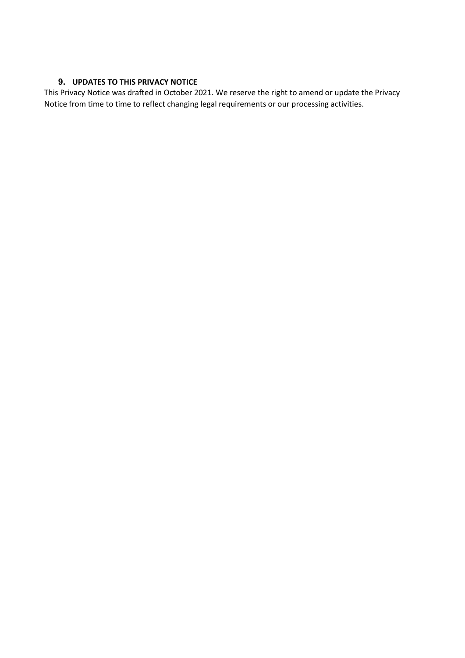# 9. UPDATES TO THIS PRIVACY NOTICE

This Privacy Notice was drafted in October 2021. We reserve the right to amend or update the Privacy Notice from time to time to reflect changing legal requirements or our processing activities.